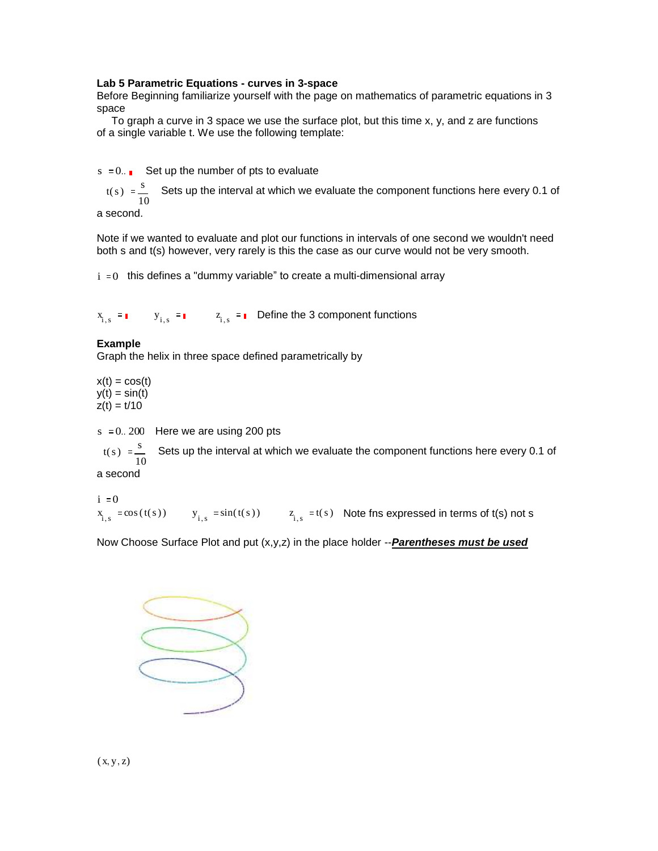## **Lab 5 Parametric Equations - curves in 3-space**

Before Beginning familiarize yourself with the page on mathematics of parametric equations in 3 space

 To graph a curve in 3 space we use the surface plot, but this time x, y, and z are functions of a single variable t. We use the following template:

 $s := 0$ . Set up the number of pts to evaluate

 $t(s) := \frac{s}{s}$ 10 Sets up the interval at which we evaluate the component functions here every 0.1 of

a second.

Note if we wanted to evaluate and plot our functions in intervals of one second we wouldn't need both s and t(s) however, very rarely is this the case as our curve would not be very smooth.

 $i = 0$  this defines a "dummy variable" to create a multi-dimensional array

 $x_{i,s} = \bullet$   $y_{i,s} = \bullet$   $z_{i,s} = \bullet$  Define the 3 component functions

## **Example**

Graph the helix in three space defined parametrically by

 $x(t) = cos(t)$  $y(t) = \sin(t)$  $z(t) = t/10$ 

 $s = 0$ . 200 Here we are using 200 pts

 $t(s) := \frac{s}{s}$ 10 Sets up the interval at which we evaluate the component functions here every 0.1 of

a second

 $i \equiv 0$  $x_{i,s} := \cos(t(s))$   $y_{i,s} := \sin(t(s))$   $z_{i,s} := t(s)$  Note fins expressed in terms of t(s) not s

Now Choose Surface Plot and put (x,y,z) in the place holder --*Parentheses must be used*



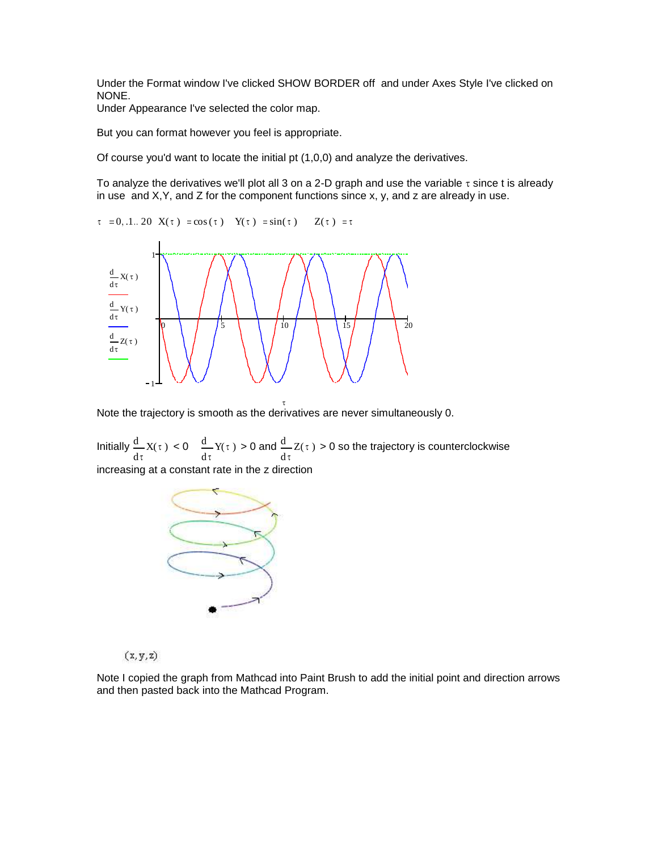Under the Format window I've clicked SHOW BORDER off and under Axes Style I've clicked on NONE.

Under Appearance I've selected the color map.

But you can format however you feel is appropriate.

Of course you'd want to locate the initial pt (1,0,0) and analyze the derivatives.

To analyze the derivatives we'll plot all 3 on a 2-D graph and use the variable  $\tau$  since t is already in use and  $X, Y$ , and  $Z$  for the component functions since  $x, y$ , and  $z$  are already in use.





Note the trajectory is smooth as the derivatives are never simultaneously 0.

Initially τ  $\frac{d}{dx}X(\tau)$ d < 0 τ  $\frac{d}{dx}Y(\tau)$ d > 0 and τ  $\frac{d}{dx}Z(\tau)$ d > 0 so the trajectory is counterclockwise increasing at a constant rate in the z direction



 $(x, y, z)$ 

Note I copied the graph from Mathcad into Paint Brush to add the initial point and direction arrows and then pasted back into the Mathcad Program.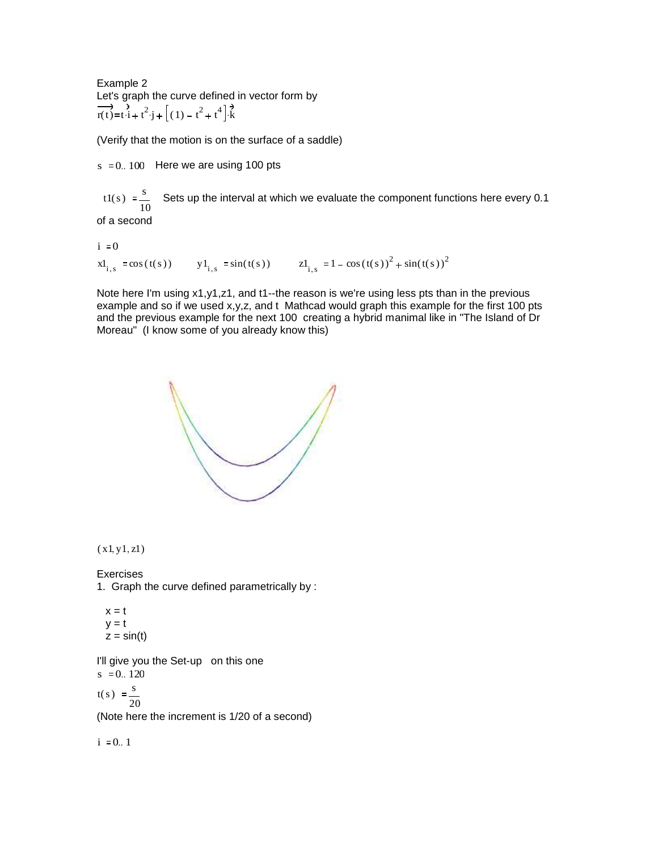Example 2 Let's graph the curve defined in vector form by  $\overrightarrow{r(t)} = t \cdot i + t^2 \cdot j + (1) - t^2 + t^4 \cdot k$ 

(Verify that the motion is on the surface of a saddle)

 $s := 0$ . 100 Here we are using 100 pts

 $t1(s) = \frac{s}{s}$ 10 Sets up the interval at which we evaluate the component functions here every 0.1 of a second

 $i = 0$ 

 $x1_{i,s} := \cos(t(s))$   $y1_{i,s} := \sin(t(s))$   $z1_{i,s} := 1 - \cos(t(s))^2 + \sin(t(s))^2$ 

Note here I'm using x1,y1,z1, and t1--the reason is we're using less pts than in the previous example and so if we used x,y,z, and t Mathcad would graph this example for the first 100 pts and the previous example for the next 100 creating a hybrid manimal like in "The Island of Dr Moreau" (I know some of you already know this)



 $(x 1, y 1, z1)$ 

Exercises 1. Graph the curve defined parametrically by :

 $x = t$  $y = t$  $z = \sin(t)$ 

I'll give you the Set-up on this one  $s := 0.120$ 

 $t(s) := \frac{s}{s}$ 20

(Note here the increment is 1/20 of a second)

 $i = 0.1$